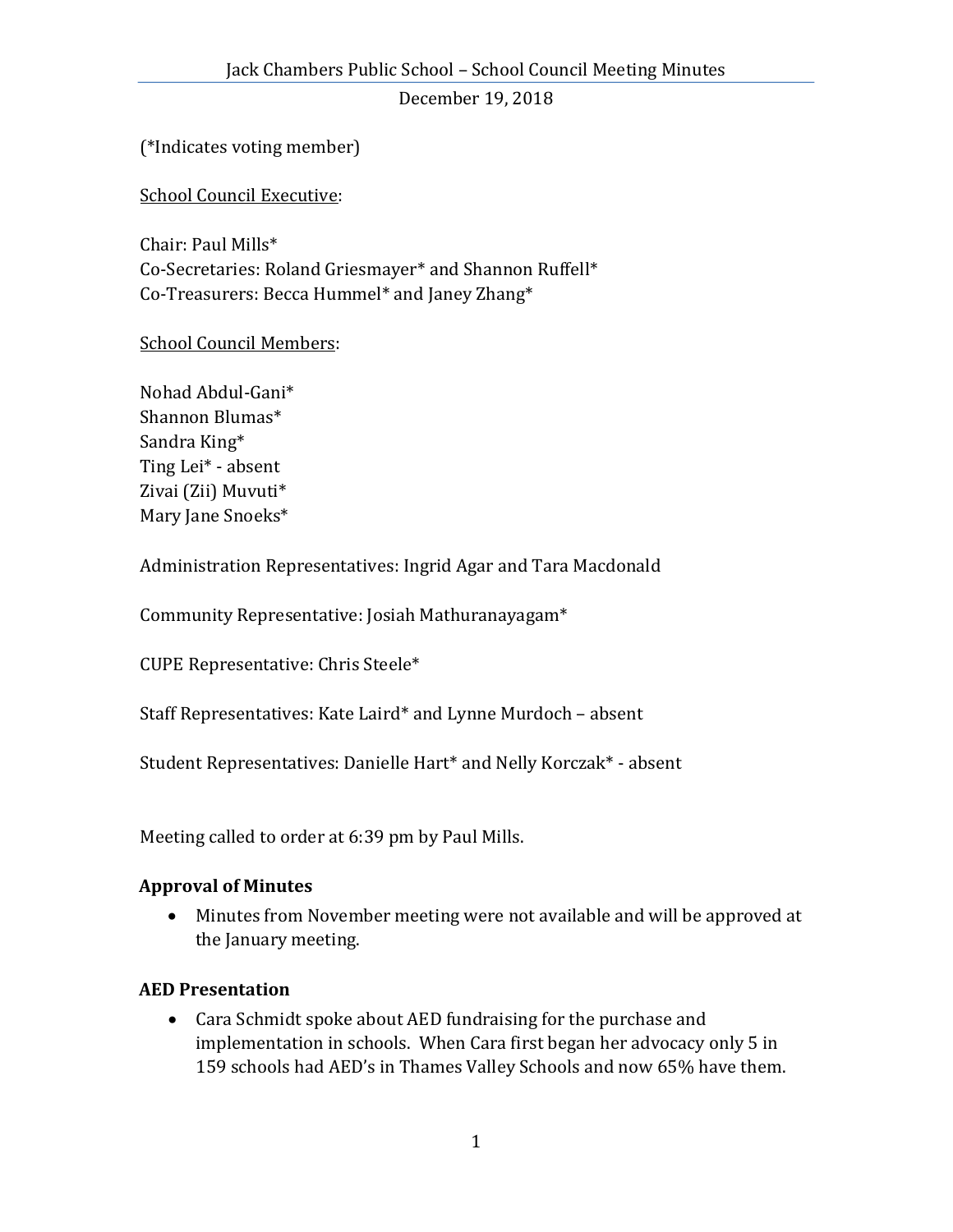(\*Indicates voting member)

School Council Executive:

Chair: Paul Mills\* Co-Secretaries: Roland Griesmayer\* and Shannon Ruffell\* Co-Treasurers: Becca Hummel\* and Janey Zhang\*

## School Council Members:

Nohad Abdul-Gani\* Shannon Blumas\* Sandra King\* Ting Lei\* - absent Zivai (Zii) Muvuti\* Mary Jane Snoeks\*

Administration Representatives: Ingrid Agar and Tara Macdonald

Community Representative: Josiah Mathuranayagam\*

CUPE Representative: Chris Steele\*

Staff Representatives: Kate Laird\* and Lynne Murdoch – absent

Student Representatives: Danielle Hart\* and Nelly Korczak\* - absent

Meeting called to order at 6:39 pm by Paul Mills.

# **Approval of Minutes**

 Minutes from November meeting were not available and will be approved at the January meeting.

### **AED Presentation**

 Cara Schmidt spoke about AED fundraising for the purchase and implementation in schools. When Cara first began her advocacy only 5 in 159 schools had AED's in Thames Valley Schools and now 65% have them.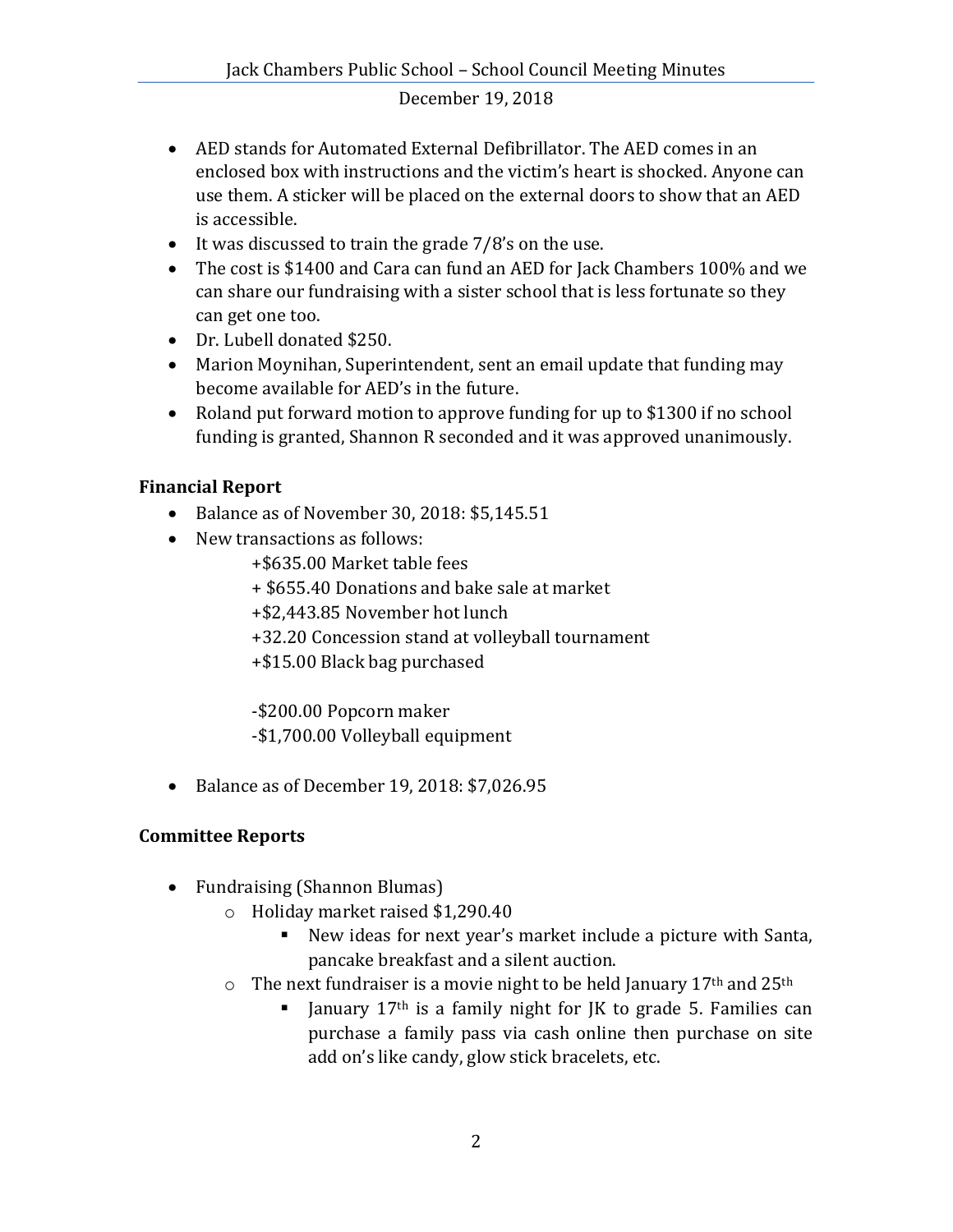- AED stands for Automated External Defibrillator. The AED comes in an enclosed box with instructions and the victim's heart is shocked. Anyone can use them. A sticker will be placed on the external doors to show that an AED is accessible.
- $\bullet$  It was discussed to train the grade 7/8's on the use.
- The cost is \$1400 and Cara can fund an AED for Jack Chambers 100% and we can share our fundraising with a sister school that is less fortunate so they can get one too.
- Dr. Lubell donated \$250.
- Marion Moynihan, Superintendent, sent an email update that funding may become available for AED's in the future.
- Roland put forward motion to approve funding for up to \$1300 if no school funding is granted, Shannon R seconded and it was approved unanimously.

# **Financial Report**

- Balance as of November 30, 2018: \$5,145.51
- New transactions as follows:
	- +\$635.00 Market table fees
	- + \$655.40 Donations and bake sale at market
	- +\$2,443.85 November hot lunch
	- +32.20 Concession stand at volleyball tournament
	- +\$15.00 Black bag purchased

-\$200.00 Popcorn maker -\$1,700.00 Volleyball equipment

Balance as of December 19, 2018: \$7,026.95

# **Committee Reports**

- Fundraising (Shannon Blumas)
	- o Holiday market raised \$1,290.40
		- New ideas for next year's market include a picture with Santa, pancake breakfast and a silent auction.
	- $\circ$  The next fundraiser is a movie night to be held January 17<sup>th</sup> and 25<sup>th</sup>
		- I January 17<sup>th</sup> is a family night for JK to grade 5. Families can purchase a family pass via cash online then purchase on site add on's like candy, glow stick bracelets, etc.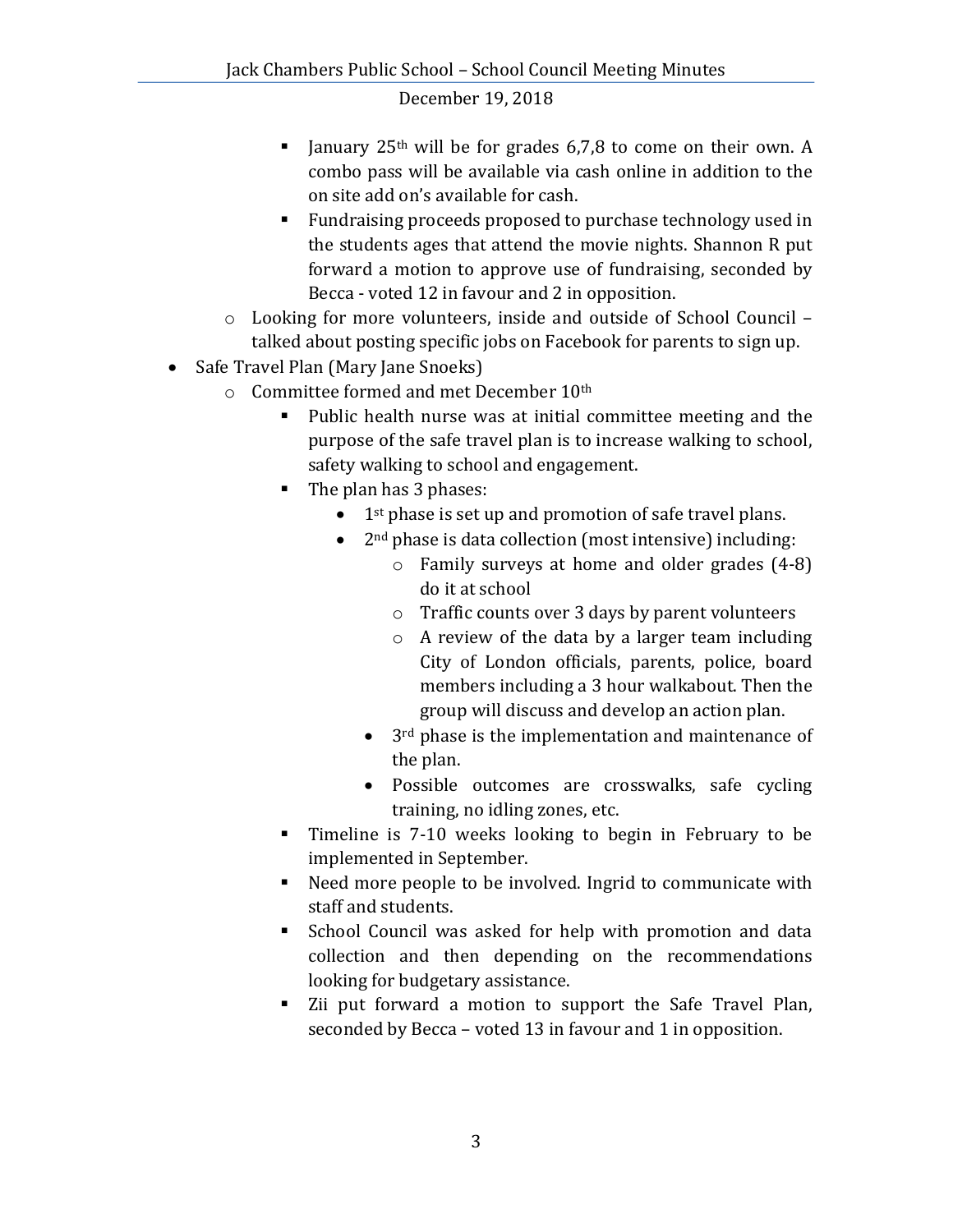- I anuary  $25<sup>th</sup>$  will be for grades 6,7,8 to come on their own. A combo pass will be available via cash online in addition to the on site add on's available for cash.
- **Fundraising proceeds proposed to purchase technology used in** the students ages that attend the movie nights. Shannon R put forward a motion to approve use of fundraising, seconded by Becca - voted 12 in favour and 2 in opposition.
- o Looking for more volunteers, inside and outside of School Council talked about posting specific jobs on Facebook for parents to sign up.
- Safe Travel Plan (Mary Jane Snoeks)
	- o Committee formed and met December 10th
		- Public health nurse was at initial committee meeting and the purpose of the safe travel plan is to increase walking to school, safety walking to school and engagement.
		- The plan has 3 phases:
			- $\bullet$  1<sup>st</sup> phase is set up and promotion of safe travel plans.
			- 2<sup>nd</sup> phase is data collection (most intensive) including:
				- o Family surveys at home and older grades (4-8) do it at school
				- o Traffic counts over 3 days by parent volunteers
				- o A review of the data by a larger team including City of London officials, parents, police, board members including a 3 hour walkabout. Then the group will discuss and develop an action plan.
				- $\bullet$  3<sup>rd</sup> phase is the implementation and maintenance of the plan.
				- Possible outcomes are crosswalks, safe cycling training, no idling zones, etc.
		- Timeline is 7-10 weeks looking to begin in February to be implemented in September.
		- Need more people to be involved. Ingrid to communicate with staff and students.
		- School Council was asked for help with promotion and data collection and then depending on the recommendations looking for budgetary assistance.
		- Zii put forward a motion to support the Safe Travel Plan, seconded by Becca – voted 13 in favour and 1 in opposition.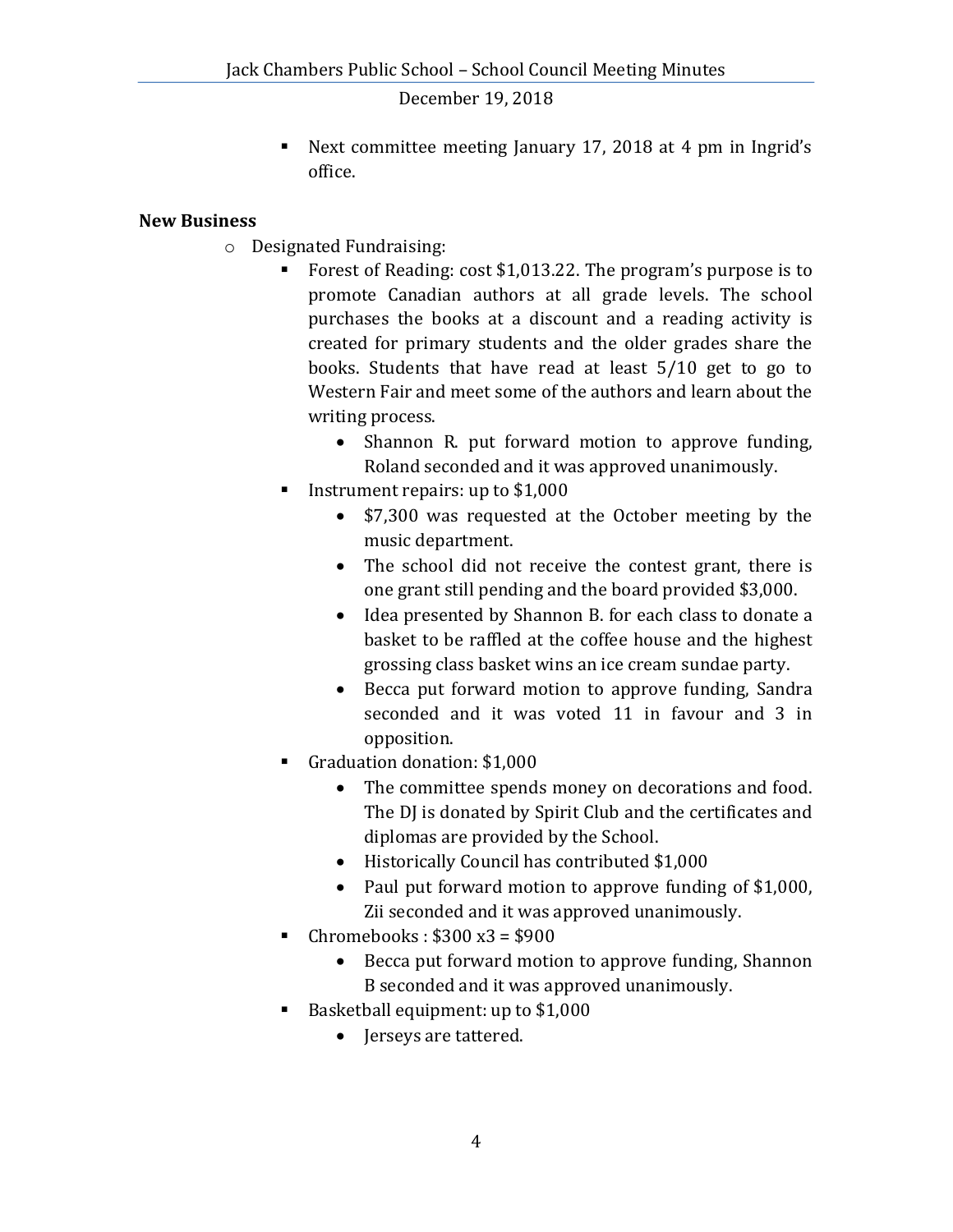Next committee meeting January 17, 2018 at 4 pm in Ingrid's office.

### **New Business**

- o Designated Fundraising:
	- Forest of Reading: cost \$1,013.22. The program's purpose is to promote Canadian authors at all grade levels. The school purchases the books at a discount and a reading activity is created for primary students and the older grades share the books. Students that have read at least 5/10 get to go to Western Fair and meet some of the authors and learn about the writing process.
		- Shannon R. put forward motion to approve funding, Roland seconded and it was approved unanimously.
	- Instrument repairs: up to  $$1,000$ 
		- \$7,300 was requested at the October meeting by the music department.
		- The school did not receive the contest grant, there is one grant still pending and the board provided \$3,000.
		- Idea presented by Shannon B. for each class to donate a basket to be raffled at the coffee house and the highest grossing class basket wins an ice cream sundae party.
		- Becca put forward motion to approve funding, Sandra seconded and it was voted 11 in favour and 3 in opposition.
	- Graduation donation: \$1,000
		- The committee spends money on decorations and food. The DJ is donated by Spirit Club and the certificates and diplomas are provided by the School.
		- Historically Council has contributed \$1,000
		- Paul put forward motion to approve funding of \$1,000, Zii seconded and it was approved unanimously.
	- Chromebooks :  $$300 x3 = $900$ 
		- Becca put forward motion to approve funding, Shannon B seconded and it was approved unanimously.
	- Basketball equipment: up to \$1,000
		- Jerseys are tattered.